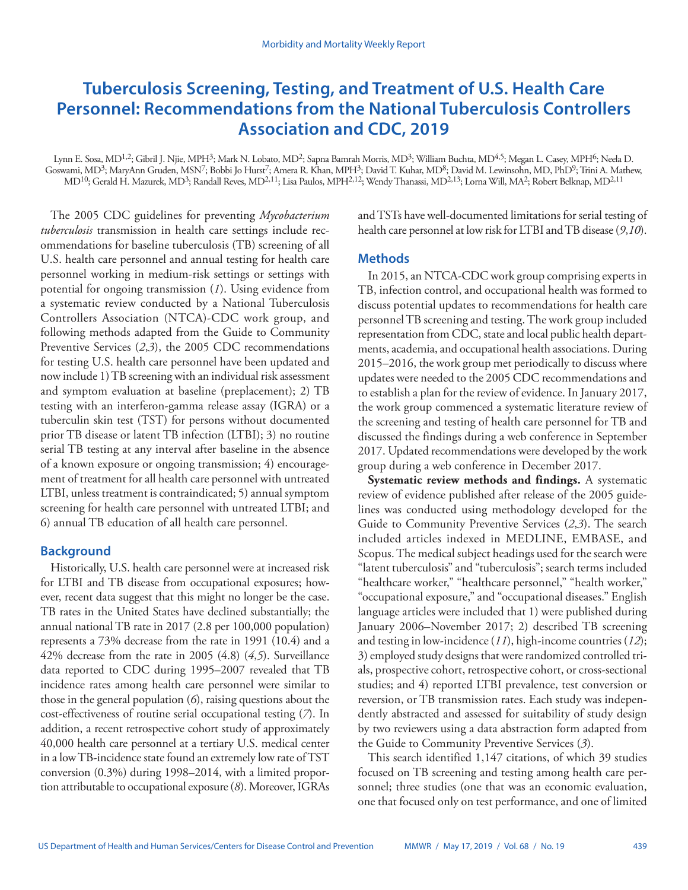# **Tuberculosis Screening, Testing, and Treatment of U.S. Health Care Personnel: Recommendations from the National Tuberculosis Controllers Association and CDC, 2019**

Lynn E. Sosa, MD<sup>1,2</sup>; Gibril J. Njie, MPH<sup>3</sup>; Mark N. Lobato, MD<sup>2</sup>; Sapna Bamrah Morris, MD<sup>3</sup>; William Buchta, MD<sup>4,5</sup>; Megan L. Casey, MPH<sup>6</sup>; Neela D. Goswami, MD<sup>3</sup>; MaryAnn Gruden, MSN<sup>7</sup>; Bobbi Jo Hurst<sup>7</sup>; Amera R. Khan, MPH<sup>3</sup>; David T. Kuhar, MD<sup>8</sup>; David M. Lewinsohn, MD, PhD<sup>9</sup>; Trini A. Mathew, MD<sup>10</sup>; Gerald H. Mazurek, MD<sup>3</sup>; Randall Reves, MD<sup>2,11</sup>; Lisa Paulos, MPH<sup>2,12</sup>; Wendy Thanassi, MD<sup>2,13</sup>; Lorna Will, MA<sup>2</sup>; Robert Belknap, MD<sup>2,11</sup>

The 2005 CDC guidelines for preventing *Mycobacterium tuberculosis* transmission in health care settings include recommendations for baseline tuberculosis (TB) screening of all U.S. health care personnel and annual testing for health care personnel working in medium-risk settings or settings with potential for ongoing transmission (*1*). Using evidence from a systematic review conducted by a National Tuberculosis Controllers Association (NTCA)-CDC work group, and following methods adapted from the Guide to Community Preventive Services (*2*,*3*), the 2005 CDC recommendations for testing U.S. health care personnel have been updated and now include 1) TB screening with an individual risk assessment and symptom evaluation at baseline (preplacement); 2) TB testing with an interferon-gamma release assay (IGRA) or a tuberculin skin test (TST) for persons without documented prior TB disease or latent TB infection (LTBI); 3) no routine serial TB testing at any interval after baseline in the absence of a known exposure or ongoing transmission; 4) encouragement of treatment for all health care personnel with untreated LTBI, unless treatment is contraindicated; 5) annual symptom screening for health care personnel with untreated LTBI; and 6) annual TB education of all health care personnel.

### **Background**

Historically, U.S. health care personnel were at increased risk for LTBI and TB disease from occupational exposures; however, recent data suggest that this might no longer be the case. TB rates in the United States have declined substantially; the annual national TB rate in 2017 (2.8 per 100,000 population) represents a 73% decrease from the rate in 1991 (10.4) and a 42% decrease from the rate in 2005 (4.8) (*4*,*5*). Surveillance data reported to CDC during 1995–2007 revealed that TB incidence rates among health care personnel were similar to those in the general population (*6*), raising questions about the cost-effectiveness of routine serial occupational testing (*7*). In addition, a recent retrospective cohort study of approximately 40,000 health care personnel at a tertiary U.S. medical center in a low TB-incidence state found an extremely low rate of TST conversion (0.3%) during 1998–2014, with a limited proportion attributable to occupational exposure (*8*). Moreover, IGRAs

and TSTs have well-documented limitations for serial testing of health care personnel at low risk for LTBI and TB disease (*9*,*10*).

## **Methods**

In 2015, an NTCA-CDC work group comprising experts in TB, infection control, and occupational health was formed to discuss potential updates to recommendations for health care personnel TB screening and testing. The work group included representation from CDC, state and local public health departments, academia, and occupational health associations. During 2015–2016, the work group met periodically to discuss where updates were needed to the 2005 CDC recommendations and to establish a plan for the review of evidence. In January 2017, the work group commenced a systematic literature review of the screening and testing of health care personnel for TB and discussed the findings during a web conference in September 2017. Updated recommendations were developed by the work group during a web conference in December 2017.

**Systematic review methods and findings.** A systematic review of evidence published after release of the 2005 guidelines was conducted using methodology developed for the Guide to Community Preventive Services (*2*,*3*). The search included articles indexed in MEDLINE, EMBASE, and Scopus. The medical subject headings used for the search were "latent tuberculosis" and "tuberculosis"; search terms included "healthcare worker," "healthcare personnel," "health worker," "occupational exposure," and "occupational diseases." English language articles were included that 1) were published during January 2006–November 2017; 2) described TB screening and testing in low-incidence (*11*), high-income countries (*12*); 3) employed study designs that were randomized controlled trials, prospective cohort, retrospective cohort, or cross-sectional studies; and 4) reported LTBI prevalence, test conversion or reversion, or TB transmission rates. Each study was independently abstracted and assessed for suitability of study design by two reviewers using a data abstraction form adapted from the Guide to Community Preventive Services (*3*).

This search identified 1,147 citations, of which 39 studies focused on TB screening and testing among health care personnel; three studies (one that was an economic evaluation, one that focused only on test performance, and one of limited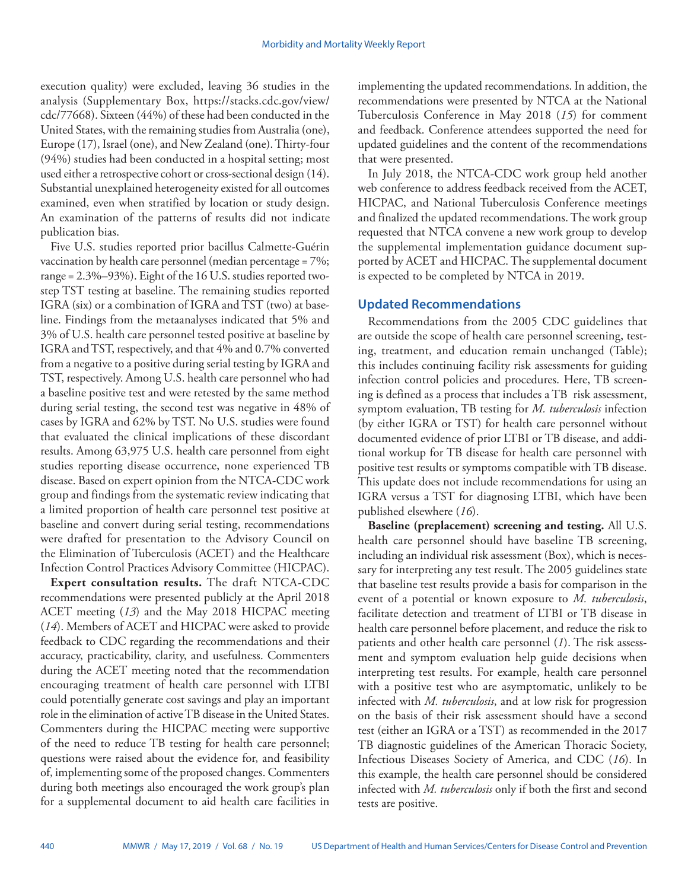execution quality) were excluded, leaving 36 studies in the analysis (Supplementary Box, [https://stacks.cdc.gov/view/](https://stacks.cdc.gov/view/cdc/77668) [cdc/77668](https://stacks.cdc.gov/view/cdc/77668)). Sixteen (44%) of these had been conducted in the United States, with the remaining studies from Australia (one), Europe (17), Israel (one), and New Zealand (one). Thirty-four (94%) studies had been conducted in a hospital setting; most used either a retrospective cohort or cross-sectional design (14). Substantial unexplained heterogeneity existed for all outcomes examined, even when stratified by location or study design. An examination of the patterns of results did not indicate publication bias.

Five U.S. studies reported prior bacillus Calmette-Guérin vaccination by health care personnel (median percentage = 7%; range = 2.3%–93%). Eight of the 16 U.S. studies reported twostep TST testing at baseline. The remaining studies reported IGRA (six) or a combination of IGRA and TST (two) at baseline. Findings from the metaanalyses indicated that 5% and 3% of U.S. health care personnel tested positive at baseline by IGRA and TST, respectively, and that 4% and 0.7% converted from a negative to a positive during serial testing by IGRA and TST, respectively. Among U.S. health care personnel who had a baseline positive test and were retested by the same method during serial testing, the second test was negative in 48% of cases by IGRA and 62% by TST. No U.S. studies were found that evaluated the clinical implications of these discordant results. Among 63,975 U.S. health care personnel from eight studies reporting disease occurrence, none experienced TB disease. Based on expert opinion from the NTCA-CDC work group and findings from the systematic review indicating that a limited proportion of health care personnel test positive at baseline and convert during serial testing, recommendations were drafted for presentation to the Advisory Council on the Elimination of Tuberculosis (ACET) and the Healthcare Infection Control Practices Advisory Committee (HICPAC).

**Expert consultation results.** The draft NTCA-CDC recommendations were presented publicly at the April 2018 ACET meeting (*13*) and the May 2018 HICPAC meeting (*14*). Members of ACET and HICPAC were asked to provide feedback to CDC regarding the recommendations and their accuracy, practicability, clarity, and usefulness. Commenters during the ACET meeting noted that the recommendation encouraging treatment of health care personnel with LTBI could potentially generate cost savings and play an important role in the elimination of active TB disease in the United States. Commenters during the HICPAC meeting were supportive of the need to reduce TB testing for health care personnel; questions were raised about the evidence for, and feasibility of, implementing some of the proposed changes. Commenters during both meetings also encouraged the work group's plan for a supplemental document to aid health care facilities in

implementing the updated recommendations. In addition, the recommendations were presented by NTCA at the National Tuberculosis Conference in May 2018 (*15*) for comment and feedback. Conference attendees supported the need for updated guidelines and the content of the recommendations that were presented.

In July 2018, the NTCA-CDC work group held another web conference to address feedback received from the ACET, HICPAC, and National Tuberculosis Conference meetings and finalized the updated recommendations. The work group requested that NTCA convene a new work group to develop the supplemental implementation guidance document supported by ACET and HICPAC. The supplemental document is expected to be completed by NTCA in 2019.

# **Updated Recommendations**

Recommendations from the 2005 CDC guidelines that are outside the scope of health care personnel screening, testing, treatment, and education remain unchanged (Table); this includes continuing facility risk assessments for guiding infection control policies and procedures. Here, TB screening is defined as a process that includes a TB risk assessment, symptom evaluation, TB testing for *M. tuberculosis* infection (by either IGRA or TST) for health care personnel without documented evidence of prior LTBI or TB disease, and additional workup for TB disease for health care personnel with positive test results or symptoms compatible with TB disease. This update does not include recommendations for using an IGRA versus a TST for diagnosing LTBI, which have been published elsewhere (*16*).

**Baseline (preplacement) screening and testing.** All U.S. health care personnel should have baseline TB screening, including an individual risk assessment (Box), which is necessary for interpreting any test result. The 2005 guidelines state that baseline test results provide a basis for comparison in the event of a potential or known exposure to *M. tuberculosis*, facilitate detection and treatment of LTBI or TB disease in health care personnel before placement, and reduce the risk to patients and other health care personnel (*1*). The risk assessment and symptom evaluation help guide decisions when interpreting test results. For example, health care personnel with a positive test who are asymptomatic, unlikely to be infected with *M. tuberculosis*, and at low risk for progression on the basis of their risk assessment should have a second test (either an IGRA or a TST) as recommended in the 2017 TB diagnostic guidelines of the American Thoracic Society, Infectious Diseases Society of America, and CDC (*16*). In this example, the health care personnel should be considered infected with *M. tuberculosis* only if both the first and second tests are positive.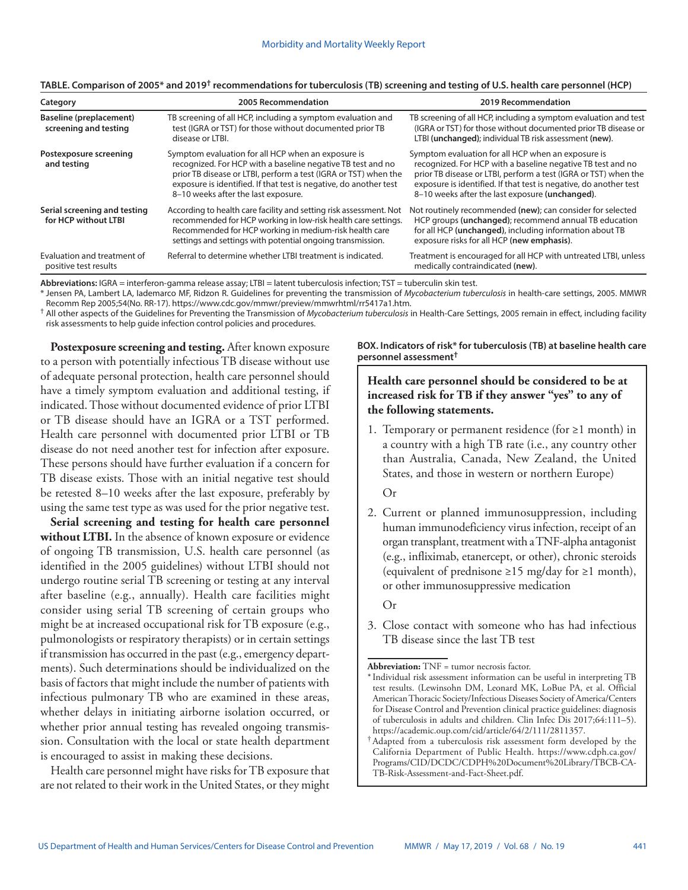| Category                                             | 2005 Recommendation                                                                                                                                                                                                                                                                              | 2019 Recommendation                                                                                                                                                                                                                                                                                          |
|------------------------------------------------------|--------------------------------------------------------------------------------------------------------------------------------------------------------------------------------------------------------------------------------------------------------------------------------------------------|--------------------------------------------------------------------------------------------------------------------------------------------------------------------------------------------------------------------------------------------------------------------------------------------------------------|
| Baseline (preplacement)<br>screening and testing     | TB screening of all HCP, including a symptom evaluation and<br>test (IGRA or TST) for those without documented prior TB<br>disease or LTBI.                                                                                                                                                      | TB screening of all HCP, including a symptom evaluation and test<br>(IGRA or TST) for those without documented prior TB disease or<br>LTBI (unchanged); individual TB risk assessment (new).                                                                                                                 |
| Postexposure screening<br>and testing                | Symptom evaluation for all HCP when an exposure is<br>recognized. For HCP with a baseline negative TB test and no<br>prior TB disease or LTBI, perform a test (IGRA or TST) when the<br>exposure is identified. If that test is negative, do another test<br>8-10 weeks after the last exposure. | Symptom evaluation for all HCP when an exposure is<br>recognized. For HCP with a baseline negative TB test and no<br>prior TB disease or LTBI, perform a test (IGRA or TST) when the<br>exposure is identified. If that test is negative, do another test<br>8-10 weeks after the last exposure (unchanged). |
| Serial screening and testing<br>for HCP without LTBI | According to health care facility and setting risk assessment. Not<br>recommended for HCP working in low-risk health care settings.<br>Recommended for HCP working in medium-risk health care<br>settings and settings with potential ongoing transmission.                                      | Not routinely recommended (new); can consider for selected<br>HCP groups (unchanged); recommend annual TB education<br>for all HCP (unchanged), including information about TB<br>exposure risks for all HCP (new emphasis).                                                                                 |
| Evaluation and treatment of<br>positive test results | Referral to determine whether LTBI treatment is indicated.                                                                                                                                                                                                                                       | Treatment is encouraged for all HCP with untreated LTBI, unless<br>medically contraindicated (new).                                                                                                                                                                                                          |

### **TABLE. Comparison of 2005\* and 2019† recommendations for tuberculosis (TB) screening and testing of U.S. health care personnel (HCP)**

**Abbreviations:** IGRA = interferon-gamma release assay; LTBI = latent tuberculosis infection; TST = tuberculin skin test.

\* Jensen PA, Lambert LA, Iademarco MF, Ridzon R. Guidelines for preventing the transmission of *Mycobacterium tuberculosis* in health-care settings, 2005. MMWR

<sup>†</sup> All other aspects of the Guidelines for Preventing the Transmission of *Mycobacterium tuberculosis* in Health-Care Settings, 2005 remain in effect, including facility risk assessments to help guide infection control policies and procedures.

Postexposure screening and testing. After known exposure to a person with potentially infectious TB disease without use of adequate personal protection, health care personnel should have a timely symptom evaluation and additional testing, if indicated. Those without documented evidence of prior LTBI or TB disease should have an IGRA or a TST performed. Health care personnel with documented prior LTBI or TB disease do not need another test for infection after exposure. These persons should have further evaluation if a concern for TB disease exists. Those with an initial negative test should be retested 8–10 weeks after the last exposure, preferably by using the same test type as was used for the prior negative test.

**Serial screening and testing for health care personnel without LTBI.** In the absence of known exposure or evidence of ongoing TB transmission, U.S. health care personnel (as identified in the 2005 guidelines) without LTBI should not undergo routine serial TB screening or testing at any interval after baseline (e.g., annually). Health care facilities might consider using serial TB screening of certain groups who might be at increased occupational risk for TB exposure (e.g., pulmonologists or respiratory therapists) or in certain settings if transmission has occurred in the past (e.g., emergency departments). Such determinations should be individualized on the basis of factors that might include the number of patients with infectious pulmonary TB who are examined in these areas, whether delays in initiating airborne isolation occurred, or whether prior annual testing has revealed ongoing transmission. Consultation with the local or state health department is encouraged to assist in making these decisions.

Health care personnel might have risks for TB exposure that are not related to their work in the United States, or they might **BOX. Indicators of risk\* for tuberculosis (TB) at baseline health care personnel assessment†**

# **Health care personnel should be considered to be at increased risk for TB if they answer "yes" to any of the following statements.**

1. Temporary or permanent residence (for  $\geq 1$  month) in a country with a high TB rate (i.e., any country other than Australia, Canada, New Zealand, the United States, and those in western or northern Europe)

Or

2. Current or planned immunosuppression, including human immunodeficiency virus infection, receipt of an organ transplant, treatment with a TNF-alpha antagonist (e.g., infliximab, etanercept, or other), chronic steroids (equivalent of prednisone  $\geq 15$  mg/day for  $\geq 1$  month), or other immunosuppressive medication

Or

3. Close contact with someone who has had infectious TB disease since the last TB test

**Abbreviation:** TNF = tumor necrosis factor.

<sup>\*</sup>Individual risk assessment information can be useful in interpreting TB test results. (Lewinsohn DM, Leonard MK, LoBue PA, et al. Official American Thoracic Society/Infectious Diseases Society of America/Centers for Disease Control and Prevention clinical practice guidelines: diagnosis of tuberculosis in adults and children. Clin Infec Dis 2017;64:111-5).<br>https://academic.oup.com/cid/article/64/2/111/2811357.

t Adapted from a tuberculosis risk assessment form developed by the California Department of Public Health. [https://www.cdph.ca.gov/](https://www.cdph.ca.gov/Programs/CID/DCDC/CDPH%20Document%20Library/TBCB-CA-TB-Risk-Assessment-and-Fact-Sheet.pdf) [Programs/CID/DCDC/CDPH%20Document%20Library/TBCB-CA-](https://www.cdph.ca.gov/Programs/CID/DCDC/CDPH%20Document%20Library/TBCB-CA-TB-Risk-Assessment-and-Fact-Sheet.pdf)[TB-Risk-Assessment-and-Fact-Sheet.pdf](https://www.cdph.ca.gov/Programs/CID/DCDC/CDPH%20Document%20Library/TBCB-CA-TB-Risk-Assessment-and-Fact-Sheet.pdf).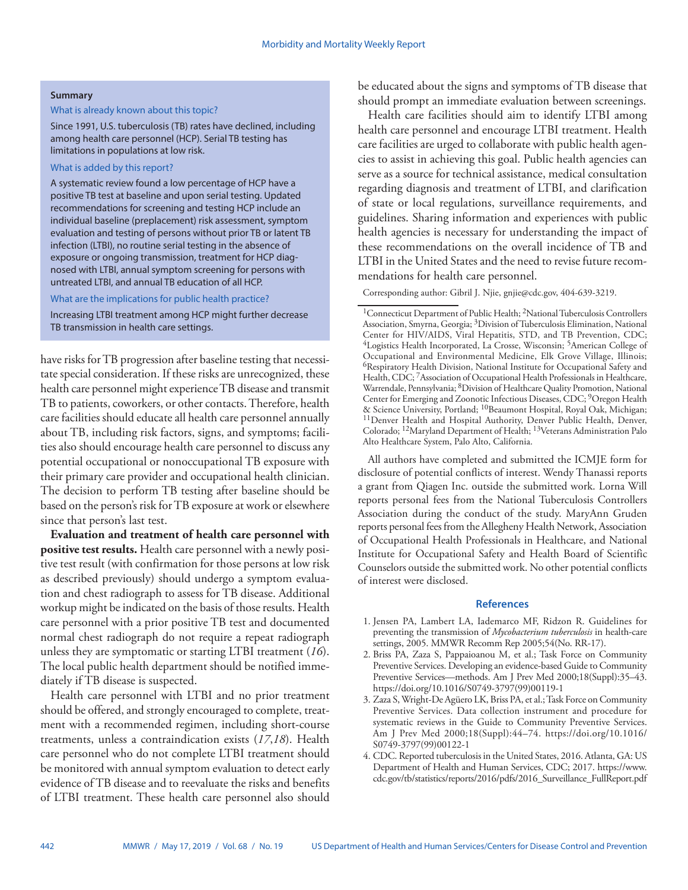#### **Summary**

### What is already known about this topic?

Since 1991, U.S. tuberculosis (TB) rates have declined, including among health care personnel (HCP). Serial TB testing has limitations in populations at low risk.

### What is added by this report?

A systematic review found a low percentage of HCP have a positive TB test at baseline and upon serial testing. Updated recommendations for screening and testing HCP include an individual baseline (preplacement) risk assessment, symptom evaluation and testing of persons without prior TB or latent TB infection (LTBI), no routine serial testing in the absence of exposure or ongoing transmission, treatment for HCP diagnosed with LTBI, annual symptom screening for persons with untreated LTBI, and annual TB education of all HCP.

What are the implications for public health practice?

Increasing LTBI treatment among HCP might further decrease TB transmission in health care settings.

have risks for TB progression after baseline testing that necessitate special consideration. If these risks are unrecognized, these health care personnel might experience TB disease and transmit TB to patients, coworkers, or other contacts. Therefore, health care facilities should educate all health care personnel annually about TB, including risk factors, signs, and symptoms; facilities also should encourage health care personnel to discuss any potential occupational or nonoccupational TB exposure with their primary care provider and occupational health clinician. The decision to perform TB testing after baseline should be based on the person's risk for TB exposure at work or elsewhere since that person's last test.

**Evaluation and treatment of health care personnel with positive test results.** Health care personnel with a newly positive test result (with confirmation for those persons at low risk as described previously) should undergo a symptom evaluation and chest radiograph to assess for TB disease. Additional workup might be indicated on the basis of those results. Health care personnel with a prior positive TB test and documented normal chest radiograph do not require a repeat radiograph unless they are symptomatic or starting LTBI treatment (*16*). The local public health department should be notified immediately if TB disease is suspected.

Health care personnel with LTBI and no prior treatment should be offered, and strongly encouraged to complete, treatment with a recommended regimen, including short-course treatments, unless a contraindication exists (*17*,*18*). Health care personnel who do not complete LTBI treatment should be monitored with annual symptom evaluation to detect early evidence of TB disease and to reevaluate the risks and benefits of LTBI treatment. These health care personnel also should

be educated about the signs and symptoms of TB disease that should prompt an immediate evaluation between screenings.

Health care facilities should aim to identify LTBI among health care personnel and encourage LTBI treatment. Health care facilities are urged to collaborate with public health agencies to assist in achieving this goal. Public health agencies can serve as a source for technical assistance, medical consultation regarding diagnosis and treatment of LTBI, and clarification of state or local regulations, surveillance requirements, and guidelines. Sharing information and experiences with public health agencies is necessary for understanding the impact of these recommendations on the overall incidence of TB and LTBI in the United States and the need to revise future recommendations for health care personnel.

Corresponding author: Gibril J. Njie, [gnjie@cdc.gov,](mailto:gnjie@cdc.gov) 404-639-3219.

All authors have completed and submitted the ICMJE form for disclosure of potential conflicts of interest. Wendy Thanassi reports a grant from Qiagen Inc. outside the submitted work. Lorna Will reports personal fees from the National Tuberculosis Controllers Association during the conduct of the study. MaryAnn Gruden reports personal fees from the Allegheny Health Network, Association of Occupational Health Professionals in Healthcare, and National Institute for Occupational Safety and Health Board of Scientific Counselors outside the submitted work. No other potential conflicts of interest were disclosed.

#### **References**

- 1. Jensen PA, Lambert LA, Iademarco MF, Ridzon R. Guidelines for preventing the transmission of *Mycobacterium tuberculosis* in health-care settings, 2005. MMWR Recomm Rep 2005;54(No. RR-17).
- 2. Briss PA, Zaza S, Pappaioanou M, et al.; Task Force on Community Preventive Services. Developing an evidence-based Guide to Community Preventive Services—methods. Am J Prev Med 2000;18(Suppl):35–43. [https://doi.org/10.1016/S0749-3797\(99\)00119-1](https://doi.org/10.1016/S0749-3797(99)00119-1)
- 3. Zaza S, Wright-De Agüero LK, Briss PA, et al.; Task Force on Community Preventive Services. Data collection instrument and procedure for systematic reviews in the Guide to Community Preventive Services. Am J Prev Med 2000;18(Suppl):44–74. [https://doi.org/10.1016/](https://doi.org/10.1016/S0749-3797(99)00122-1) [S0749-3797\(99\)00122-1](https://doi.org/10.1016/S0749-3797(99)00122-1)
- 4. CDC. Reported tuberculosis in the United States, 2016. Atlanta, GA: US Department of Health and Human Services, CDC; 2017. [https://www.](https://www.cdc.gov/tb/statistics/reports/2016/pdfs/2016_Surveillance_FullReport.pdf) [cdc.gov/tb/statistics/reports/2016/pdfs/2016\\_Surveillance\\_FullReport.pdf](https://www.cdc.gov/tb/statistics/reports/2016/pdfs/2016_Surveillance_FullReport.pdf)

<sup>1</sup>Connecticut Department of Public Health; 2National Tuberculosis Controllers Association, Smyrna, Georgia; 3Division of Tuberculosis Elimination, National Center for HIV/AIDS, Viral Hepatitis, STD, and TB Prevention, CDC; 4Logistics Health Incorporated, La Crosse, Wisconsin; 5American College of Occupational and Environmental Medicine, Elk Grove Village, Illinois; 6Respiratory Health Division, National Institute for Occupational Safety and Health, CDC; <sup>7</sup>Association of Occupational Health Professionals in Healthcare, Warrendale, Pennsylvania; 8Division of Healthcare Quality Promotion, National Center for Emerging and Zoonotic Infectious Diseases, CDC; <sup>9</sup>Oregon Health & Science University, Portland; <sup>10</sup>Beaumont Hospital, Royal Oak, Michigan; <sup>11</sup>Denver Health and Hospital Authority, Denver Public Health, Denver, Colorado; 12Maryland Department of Health; 13Veterans Administration Palo Alto Healthcare System, Palo Alto, California.